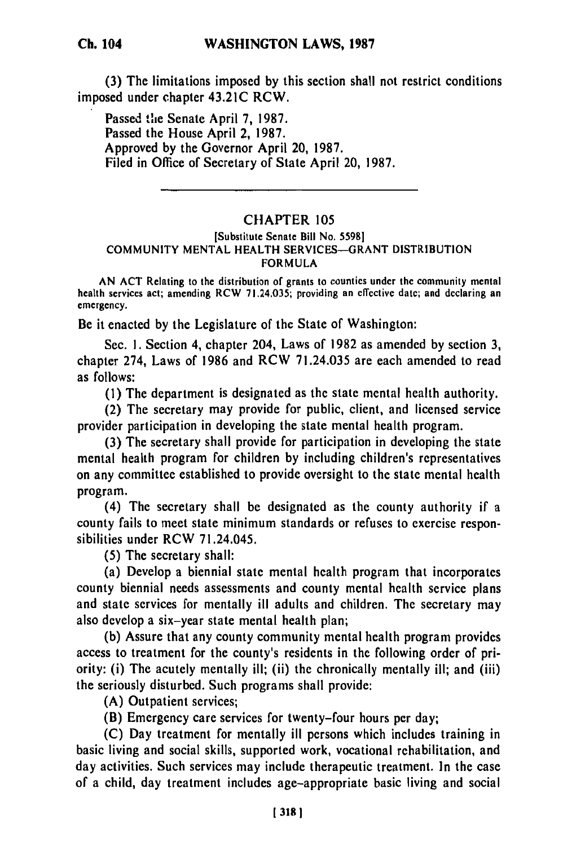**(3)** The limitations imposed **by** this section shall not restrict conditions imposed under chapter 43.21C RCW.

Passed the Senate April 7, 1987. Passed the House April 2, 1987. Approved by the Governor April 20, 1987. Filed in Office of Secretary of State April 20, 1987.

## CHAPTER 105

## [Substitute Senate Bill No. 55981 COMMUNITY MENTAL HEALTH SERVICES-GRANT DISTRIBUTION FORMULA

AN ACT Relating to the distribution of grants to counties under the community mental health services act; amending RCW 71.24.035; providing an effective date; and declaring an emergency.

Be it enacted by the Legislature of the State of Washington:

Sec. **1.** Section 4, chapter 204, Laws of 1982 as amended by section 3, chapter 274, Laws of 1986 and RCW 71.24.035 are each amended to read as follows:

(I) The department is designated as the state mental health authority.

(2) The secretary may provide for public, client, and licensed service provider participation in developing the state mental health program.

(3) The secretary shall provide for participation in developing the state mental health program for children by including children's representatives on any committee established to provide oversight to the state mental health program.

(4) The secretary shall be designated as the county authority if a county fails to meet state minimum standards or refuses to exercise responsibilities under RCW 71.24.045.

(5) The secretary shall:

(a) Develop a biennial state mental health program that incorporates county biennial needs assessments and county mental health service plans and state services for mentally ill adults and children. The secretary may also develop a six-year state mental health plan;

(b) Assure that any county community mental health program provides access to treatment for the county's residents in the following order of priority: (i) The acutely mentally ill; (ii) the chronically mentally ill; and (iii) the seriously disturbed. Such programs shall provide:

(A) Outpatient services;

(B) Emergency care services for twenty-four hours per day;

(C) Day treatment for mentally ill persons which includes training in basic living and social skills, supported work, vocational rehabilitation, and day activities. Such services may include therapeutic treatment. In the case of a child, day treatment includes age-appropriate basic living and social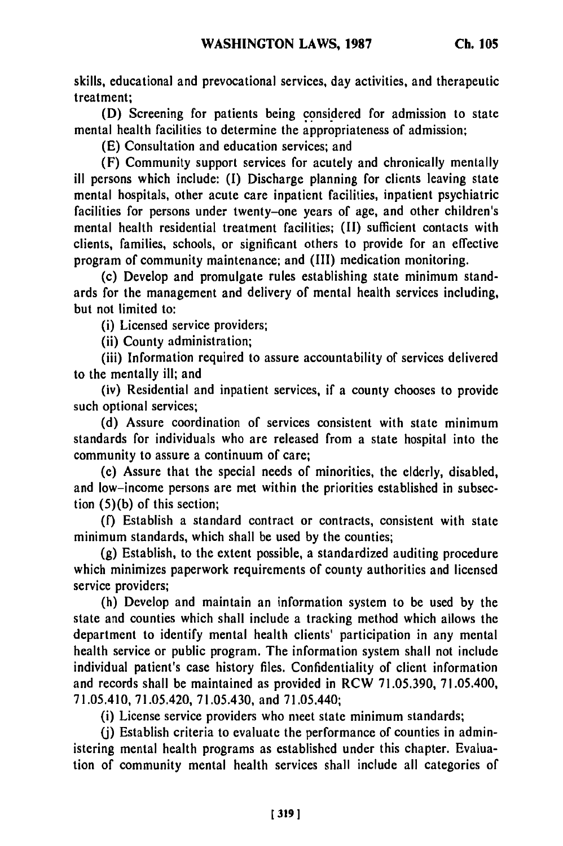skills, educational and prevocational services, day activities, and therapeutic treatment;

**(D)** Screening for patients being considered for admission to state mental health facilities to determine the appropriateness of admission;

(E) Consultation and education services; and

(F) Community support services for acutely and chronically mentally ill persons which include: **(I)** Discharge planning for clients leaving state mental hospitals, other acute care inpatient facilities, inpatient psychiatric facilities for persons under twenty-one years of age, and other children's mental health residential treatment facilities; (II) sufficient contacts with clients, families, schools, or significant others to provide for an effective program of community maintenance; and (III) medication monitoring.

(c) Develop and promulgate rules establishing state minimum standards for the management and delivery of mental health services including, but not limited to:

(i) Licensed service providers;

(ii) County administration;

(iii) Information required to assure accountability of services delivered to the mentally ill; and

(iv) Residential and inpatient services, if a county chooses to provide such optional services;

**(d)** Assure coordination of services consistent with state minimum standards for individuals who are released from a state hospital into the community to assure a continuum of care;

(e) Assure that the special needs of minorities, the elderly, disabled, and low-income persons are met within the priorities established in subsection **(5)(b)** of this section;

**(f)** Establish a standard contract or contracts, consistent with state minimum standards, which shall be used **by** the counties;

**(g)** Establish, to the extent possible, a standardized auditing procedure which minimizes paperwork requirements of county authorities and licensed service providers;

(h) Develop and maintain an information system to be used by the state and counties which shall include a tracking method which allows the department to identify mental health clients' participation in any mental health service or public program. The information system shall not include individual patient's case history files. Confidentiality of client information and records shall be maintained as provided in RCW 71.05.390, 71.05.400, 71.05.410, 71.05.420, 71.05.430, and 71.05.440;

(i) License service providers who meet state minimum standards;

**(j)** Establish criteria to evaluate the performance of counties in administering mental health programs as established under this chapter. Evaluation of community mental health services shall include all categories of